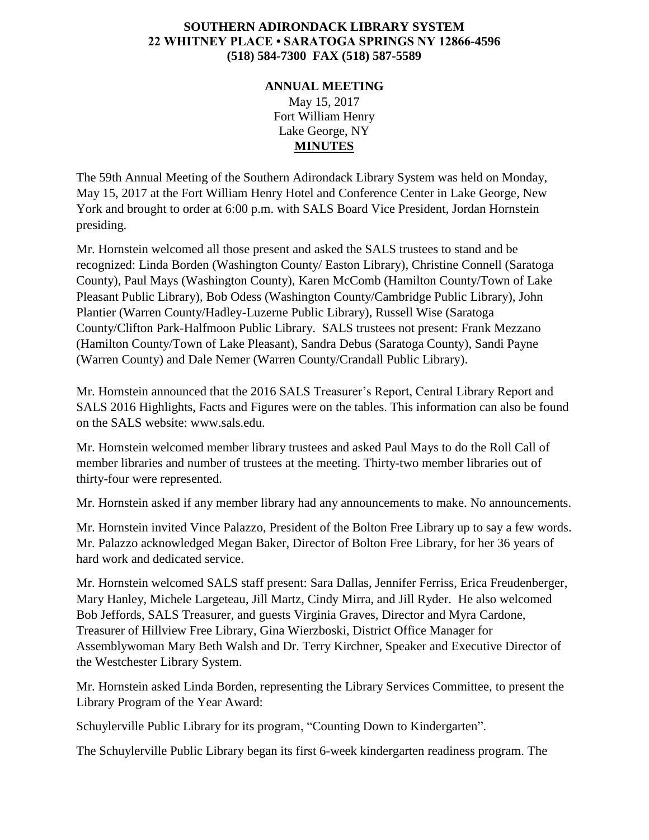## **SOUTHERN ADIRONDACK LIBRARY SYSTEM 22 WHITNEY PLACE • SARATOGA SPRINGS NY 12866-4596 (518) 584-7300 FAX (518) 587-5589**

## **ANNUAL MEETING** May 15, 2017 Fort William Henry Lake George, NY **MINUTES**

The 59th Annual Meeting of the Southern Adirondack Library System was held on Monday, May 15, 2017 at the Fort William Henry Hotel and Conference Center in Lake George, New York and brought to order at 6:00 p.m. with SALS Board Vice President, Jordan Hornstein presiding.

Mr. Hornstein welcomed all those present and asked the SALS trustees to stand and be recognized: Linda Borden (Washington County/ Easton Library), Christine Connell (Saratoga County), Paul Mays (Washington County), Karen McComb (Hamilton County/Town of Lake Pleasant Public Library), Bob Odess (Washington County/Cambridge Public Library), John Plantier (Warren County/Hadley-Luzerne Public Library), Russell Wise (Saratoga County/Clifton Park-Halfmoon Public Library. SALS trustees not present: Frank Mezzano (Hamilton County/Town of Lake Pleasant), Sandra Debus (Saratoga County), Sandi Payne (Warren County) and Dale Nemer (Warren County/Crandall Public Library).

Mr. Hornstein announced that the 2016 SALS Treasurer's Report, Central Library Report and SALS 2016 Highlights, Facts and Figures were on the tables. This information can also be found on the SALS website: www.sals.edu.

Mr. Hornstein welcomed member library trustees and asked Paul Mays to do the Roll Call of member libraries and number of trustees at the meeting. Thirty-two member libraries out of thirty-four were represented.

Mr. Hornstein asked if any member library had any announcements to make. No announcements.

Mr. Hornstein invited Vince Palazzo, President of the Bolton Free Library up to say a few words. Mr. Palazzo acknowledged Megan Baker, Director of Bolton Free Library, for her 36 years of hard work and dedicated service.

Mr. Hornstein welcomed SALS staff present: Sara Dallas, Jennifer Ferriss, Erica Freudenberger, Mary Hanley, Michele Largeteau, Jill Martz, Cindy Mirra, and Jill Ryder. He also welcomed Bob Jeffords, SALS Treasurer, and guests Virginia Graves, Director and Myra Cardone, Treasurer of Hillview Free Library, Gina Wierzboski, District Office Manager for Assemblywoman Mary Beth Walsh and Dr. Terry Kirchner, Speaker and Executive Director of the Westchester Library System.

Mr. Hornstein asked Linda Borden, representing the Library Services Committee, to present the Library Program of the Year Award:

Schuylerville Public Library for its program, "Counting Down to Kindergarten".

The Schuylerville Public Library began its first 6-week kindergarten readiness program. The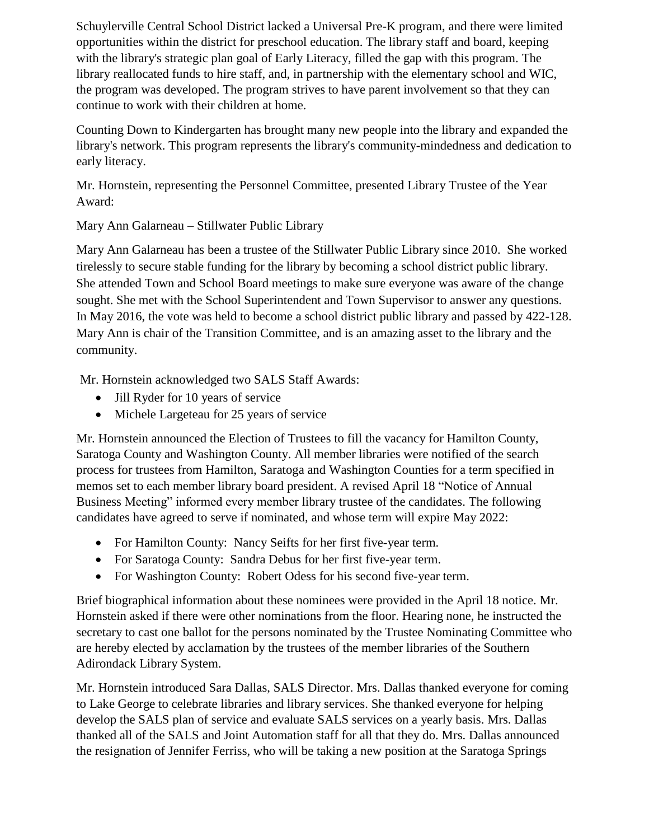Schuylerville Central School District lacked a Universal Pre-K program, and there were limited opportunities within the district for preschool education. The library staff and board, keeping with the library's strategic plan goal of Early Literacy, filled the gap with this program. The library reallocated funds to hire staff, and, in partnership with the elementary school and WIC, the program was developed. The program strives to have parent involvement so that they can continue to work with their children at home.

Counting Down to Kindergarten has brought many new people into the library and expanded the library's network. This program represents the library's community-mindedness and dedication to early literacy.

Mr. Hornstein, representing the Personnel Committee, presented Library Trustee of the Year Award:

Mary Ann Galarneau – Stillwater Public Library

Mary Ann Galarneau has been a trustee of the Stillwater Public Library since 2010. She worked tirelessly to secure stable funding for the library by becoming a school district public library. She attended Town and School Board meetings to make sure everyone was aware of the change sought. She met with the School Superintendent and Town Supervisor to answer any questions. In May 2016, the vote was held to become a school district public library and passed by 422-128. Mary Ann is chair of the Transition Committee, and is an amazing asset to the library and the community.

Mr. Hornstein acknowledged two SALS Staff Awards:

- Jill Ryder for 10 years of service
- Michele Largeteau for 25 years of service

Mr. Hornstein announced the Election of Trustees to fill the vacancy for Hamilton County, Saratoga County and Washington County. All member libraries were notified of the search process for trustees from Hamilton, Saratoga and Washington Counties for a term specified in memos set to each member library board president. A revised April 18 "Notice of Annual Business Meeting" informed every member library trustee of the candidates. The following candidates have agreed to serve if nominated, and whose term will expire May 2022:

- For Hamilton County: Nancy Seifts for her first five-year term.
- For Saratoga County: Sandra Debus for her first five-year term.
- For Washington County: Robert Odess for his second five-year term.

Brief biographical information about these nominees were provided in the April 18 notice. Mr. Hornstein asked if there were other nominations from the floor. Hearing none, he instructed the secretary to cast one ballot for the persons nominated by the Trustee Nominating Committee who are hereby elected by acclamation by the trustees of the member libraries of the Southern Adirondack Library System.

Mr. Hornstein introduced Sara Dallas, SALS Director. Mrs. Dallas thanked everyone for coming to Lake George to celebrate libraries and library services. She thanked everyone for helping develop the SALS plan of service and evaluate SALS services on a yearly basis. Mrs. Dallas thanked all of the SALS and Joint Automation staff for all that they do. Mrs. Dallas announced the resignation of Jennifer Ferriss, who will be taking a new position at the Saratoga Springs